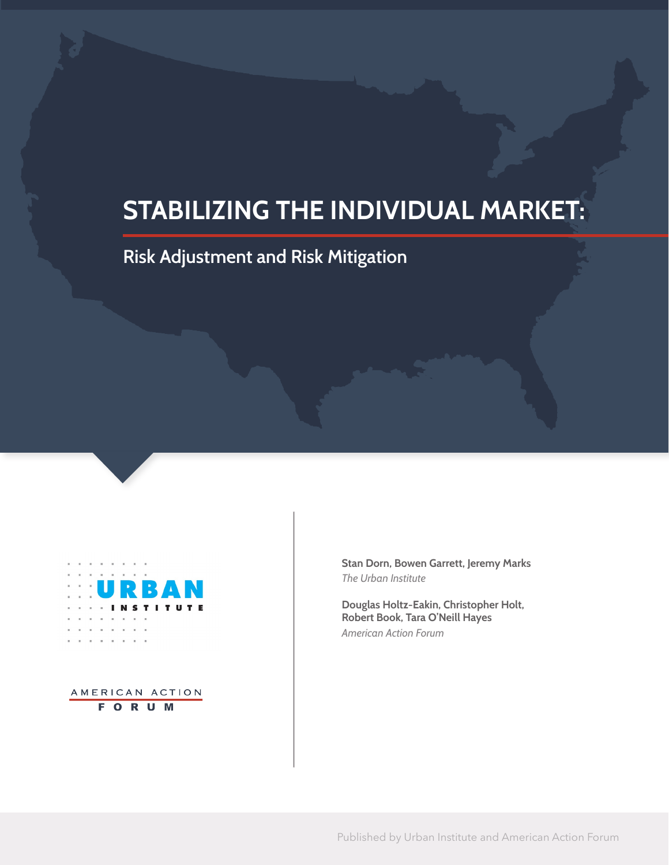# **STABILIZING THE INDIVIDUAL MARKET:**

# **Risk Adjustment and Risk Mitigation**



AMERICAN ACTION **FORUM** 

**Stan Dorn, Bowen Garrett, Jeremy Marks**  *The Urban Institute*

**Douglas Holtz-Eakin, Christopher Holt, Robert Book, Tara O'Neill Hayes** *American Action Forum*

Published by Urban Institute and American Action Forum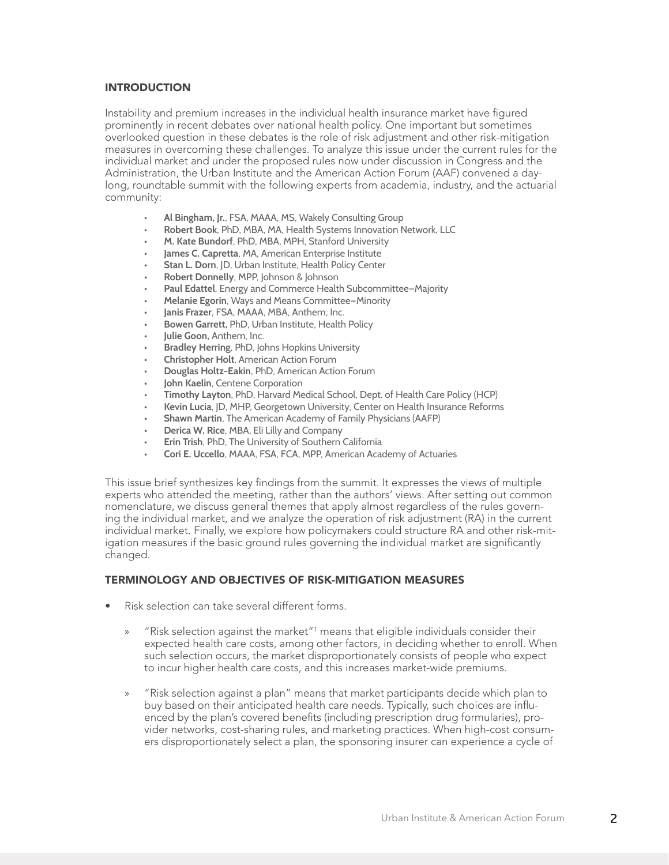## INTRODUCTION

Instability and premium increases in the individual health insurance market have figured prominently in recent debates over national health policy. One important but sometimes overlooked question in these debates is the role of risk adjustment and other risk-mitigation measures in overcoming these challenges. To analyze this issue under the current rules for the individual market and under the proposed rules now under discussion in Congress and the Administration, the Urban Institute and the American Action Forum (AAF) convened a daylong, roundtable summit with the following experts from academia, industry, and the actuarial community:

- **• Al Bingham, Jr.**, FSA, MAAA, MS, Wakely Consulting Group
- **• Robert Book**, PhD, MBA, MA, Health Systems Innovation Network, LLC
- **• M. Kate Bundorf**, PhD, MBA, MPH, Stanford University
- **• James C. Capretta**, MA, American Enterprise Institute
- **• Stan L. Dorn**, JD, Urban Institute, Health Policy Center
- **• Robert Donnelly**, MPP, Johnson & Johnson
- **• Paul Edattel**, Energy and Commerce Health Subcommittee—Majority
- **• Melanie Egorin**, Ways and Means Committee—Minority
- **• Janis Frazer**, FSA, MAAA, MBA, Anthem, Inc.
- **• Bowen Garrett,** PhD, Urban Institute, Health Policy
- **• Julie Goon,** Anthem, Inc.
- **• Bradley Herring**, PhD, Johns Hopkins University
- **• Christopher Holt**, American Action Forum
- **• Douglas Holtz-Eakin**, PhD, American Action Forum
- **• John Kaelin**, Centene Corporation
- **• Timothy Layton**, PhD, Harvard Medical School, Dept. of Health Care Policy (HCP)
- **• Kevin Lucia**, JD, MHP, Georgetown University, Center on Health Insurance Reforms
- **• Shawn Martin**, The American Academy of Family Physicians (AAFP)
- **• Derica W. Rice**, MBA, Eli Lilly and Company
- **• Erin Trish**, PhD, The University of Southern California
- **• Cori E. Uccello**, MAAA, FSA, FCA, MPP, American Academy of Actuaries

This issue brief synthesizes key findings from the summit. It expresses the views of multiple experts who attended the meeting, rather than the authors' views. After setting out common nomenclature, we discuss general themes that apply almost regardless of the rules governing the individual market, and we analyze the operation of risk adjustment (RA) in the current individual market. Finally, we explore how policymakers could structure RA and other risk-mitigation measures if the basic ground rules governing the individual market are significantly changed.

#### TERMINOLOGY AND OBJECTIVES OF RISK-MITIGATION MEASURES

- Risk selection can take several different forms.
	- » "Risk selection against the market"<sup>1</sup> means that eligible individuals consider their expected health care costs, among other factors, in deciding whether to enroll. When such selection occurs, the market disproportionately consists of people who expect to incur higher health care costs, and this increases market-wide premiums.
	- » "Risk selection against a plan" means that market participants decide which plan to buy based on their anticipated health care needs. Typically, such choices are influenced by the plan's covered benefits (including prescription drug formularies), provider networks, cost-sharing rules, and marketing practices. When high-cost consumers disproportionately select a plan, the sponsoring insurer can experience a cycle of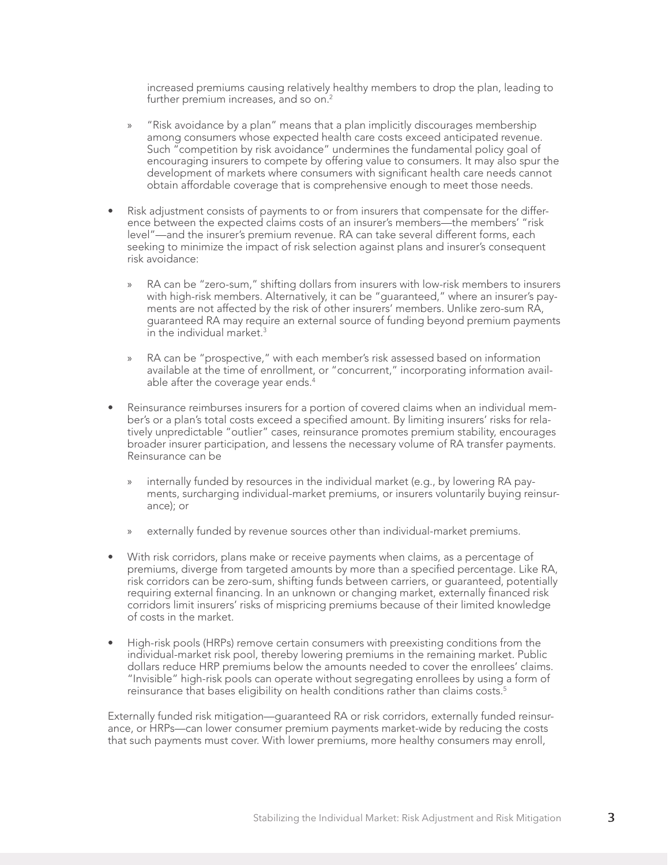increased premiums causing relatively healthy members to drop the plan, leading to further premium increases, and so on.<sup>2</sup>

- » "Risk avoidance by a plan" means that a plan implicitly discourages membership among consumers whose expected health care costs exceed anticipated revenue. Such "competition by risk avoidance" undermines the fundamental policy goal of encouraging insurers to compete by offering value to consumers. It may also spur the development of markets where consumers with significant health care needs cannot obtain affordable coverage that is comprehensive enough to meet those needs.
- Risk adjustment consists of payments to or from insurers that compensate for the difference between the expected claims costs of an insurer's members—the members' "risk level"—and the insurer's premium revenue. RA can take several different forms, each seeking to minimize the impact of risk selection against plans and insurer's consequent risk avoidance:
	- » RA can be "zero-sum," shifting dollars from insurers with low-risk members to insurers with high-risk members. Alternatively, it can be "guaranteed," where an insurer's payments are not affected by the risk of other insurers' members. Unlike zero-sum RA, guaranteed RA may require an external source of funding beyond premium payments in the individual market. $3$
	- » RA can be "prospective," with each member's risk assessed based on information available at the time of enrollment, or "concurrent," incorporating information available after the coverage year ends.<sup>4</sup>
- Reinsurance reimburses insurers for a portion of covered claims when an individual member's or a plan's total costs exceed a specified amount. By limiting insurers' risks for relatively unpredictable "outlier" cases, reinsurance promotes premium stability, encourages broader insurer participation, and lessens the necessary volume of RA transfer payments. Reinsurance can be
	- » internally funded by resources in the individual market (e.g., by lowering RA payments, surcharging individual-market premiums, or insurers voluntarily buying reinsurance); or
	- » externally funded by revenue sources other than individual-market premiums.
- With risk corridors, plans make or receive payments when claims, as a percentage of premiums, diverge from targeted amounts by more than a specified percentage. Like RA, risk corridors can be zero-sum, shifting funds between carriers, or guaranteed, potentially requiring external financing. In an unknown or changing market, externally financed risk corridors limit insurers' risks of mispricing premiums because of their limited knowledge of costs in the market.
- High-risk pools (HRPs) remove certain consumers with preexisting conditions from the individual-market risk pool, thereby lowering premiums in the remaining market. Public dollars reduce HRP premiums below the amounts needed to cover the enrollees' claims. "Invisible" high-risk pools can operate without segregating enrollees by using a form of reinsurance that bases eligibility on health conditions rather than claims costs.<sup>5</sup>

Externally funded risk mitigation—guaranteed RA or risk corridors, externally funded reinsurance, or HRPs—can lower consumer premium payments market-wide by reducing the costs that such payments must cover. With lower premiums, more healthy consumers may enroll,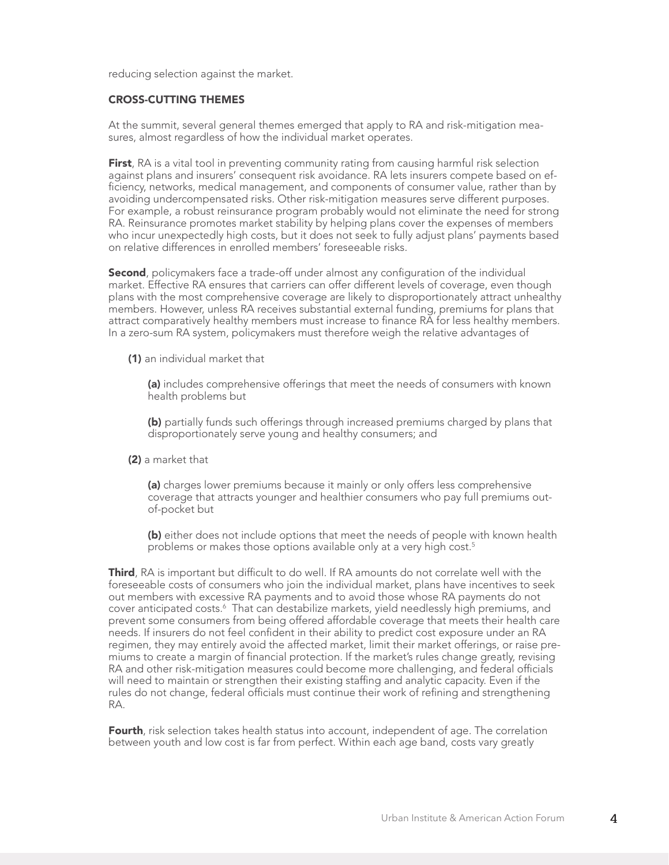reducing selection against the market.

#### CROSS-CUTTING THEMES

At the summit, several general themes emerged that apply to RA and risk-mitigation measures, almost regardless of how the individual market operates.

**First**, RA is a vital tool in preventing community rating from causing harmful risk selection against plans and insurers' consequent risk avoidance. RA lets insurers compete based on efficiency, networks, medical management, and components of consumer value, rather than by avoiding undercompensated risks. Other risk-mitigation measures serve different purposes. For example, a robust reinsurance program probably would not eliminate the need for strong RA. Reinsurance promotes market stability by helping plans cover the expenses of members who incur unexpectedly high costs, but it does not seek to fully adjust plans' payments based on relative differences in enrolled members' foreseeable risks.

**Second**, policymakers face a trade-off under almost any configuration of the individual market. Effective RA ensures that carriers can offer different levels of coverage, even though plans with the most comprehensive coverage are likely to disproportionately attract unhealthy members. However, unless RA receives substantial external funding, premiums for plans that attract comparatively healthy members must increase to finance RA for less healthy members. In a zero-sum RA system, policymakers must therefore weigh the relative advantages of

(1) an individual market that

(a) includes comprehensive offerings that meet the needs of consumers with known health problems but

(b) partially funds such offerings through increased premiums charged by plans that disproportionately serve young and healthy consumers; and

(2) a market that

(a) charges lower premiums because it mainly or only offers less comprehensive coverage that attracts younger and healthier consumers who pay full premiums outof-pocket but

(b) either does not include options that meet the needs of people with known health problems or makes those options available only at a very high cost.<sup>5</sup>

**Third**, RA is important but difficult to do well. If RA amounts do not correlate well with the foreseeable costs of consumers who join the individual market, plans have incentives to seek out members with excessive RA payments and to avoid those whose RA payments do not cover anticipated costs.<sup>6</sup> That can destabilize markets, yield needlessly high premiums, and prevent some consumers from being offered affordable coverage that meets their health care needs. If insurers do not feel confident in their ability to predict cost exposure under an RA regimen, they may entirely avoid the affected market, limit their market offerings, or raise premiums to create a margin of financial protection. If the market's rules change greatly, revising RA and other risk-mitigation measures could become more challenging, and federal officials will need to maintain or strengthen their existing staffing and analytic capacity. Even if the rules do not change, federal officials must continue their work of refining and strengthening RA.

Fourth, risk selection takes health status into account, independent of age. The correlation between youth and low cost is far from perfect. Within each age band, costs vary greatly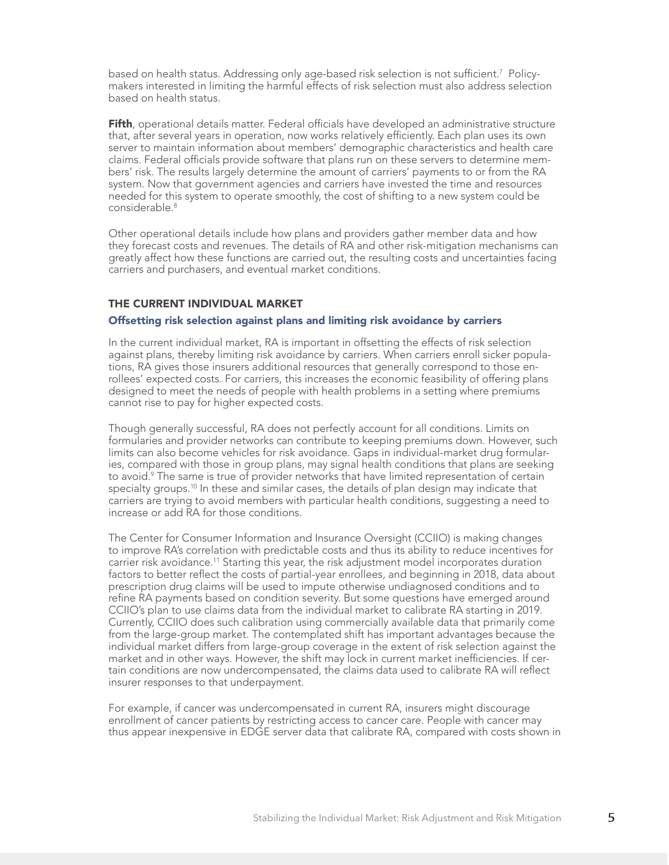based on health status. Addressing only age-based risk selection is not sufficient.<sup>7</sup> Policymakers interested in limiting the harmful effects of risk selection must also address selection based on health status.

Fifth, operational details matter. Federal officials have developed an administrative structure that, after several years in operation, now works relatively efficiently. Each plan uses its own server to maintain information about members' demographic characteristics and health care claims. Federal officials provide software that plans run on these servers to determine members' risk. The results largely determine the amount of carriers' payments to or from the RA system. Now that government agencies and carriers have invested the time and resources needed for this system to operate smoothly, the cost of shifting to a new system could be considerable<sup>8</sup>

Other operational details include how plans and providers gather member data and how they forecast costs and revenues. The details of RA and other risk-mitigation mechanisms can greatly affect how these functions are carried out, the resulting costs and uncertainties facing carriers and purchasers, and eventual market conditions.

## THE CURRENT INDIVIDUAL MARKET

#### Offsetting risk selection against plans and limiting risk avoidance by carriers

In the current individual market, RA is important in offsetting the effects of risk selection against plans, thereby limiting risk avoidance by carriers. When carriers enroll sicker populations, RA gives those insurers additional resources that generally correspond to those enrollees' expected costs. For carriers, this increases the economic feasibility of offering plans designed to meet the needs of people with health problems in a setting where premiums cannot rise to pay for higher expected costs.

Though generally successful, RA does not perfectly account for all conditions. Limits on formularies and provider networks can contribute to keeping premiums down. However, such limits can also become vehicles for risk avoidance. Gaps in individual-market drug formularies, compared with those in group plans, may signal health conditions that plans are seeking to avoid.<sup>9</sup> The same is true of provider networks that have limited representation of certain specialty groups.<sup>10</sup> In these and similar cases, the details of plan design may indicate that carriers are trying to avoid members with particular health conditions, suggesting a need to increase or add RA for those conditions.

The Center for Consumer Information and Insurance Oversight (CCIIO) is making changes to improve RA's correlation with predictable costs and thus its ability to reduce incentives for carrier risk avoidance.11 Starting this year, the risk adjustment model incorporates duration factors to better reflect the costs of partial-year enrollees, and beginning in 2018, data about prescription drug claims will be used to impute otherwise undiagnosed conditions and to refine RA payments based on condition severity. But some questions have emerged around CCIIO's plan to use claims data from the individual market to calibrate RA starting in 2019. Currently, CCIIO does such calibration using commercially available data that primarily come from the large-group market. The contemplated shift has important advantages because the individual market differs from large-group coverage in the extent of risk selection against the market and in other ways. However, the shift may lock in current market inefficiencies. If certain conditions are now undercompensated, the claims data used to calibrate RA will reflect insurer responses to that underpayment.

For example, if cancer was undercompensated in current RA, insurers might discourage enrollment of cancer patients by restricting access to cancer care. People with cancer may thus appear inexpensive in EDGE server data that calibrate RA, compared with costs shown in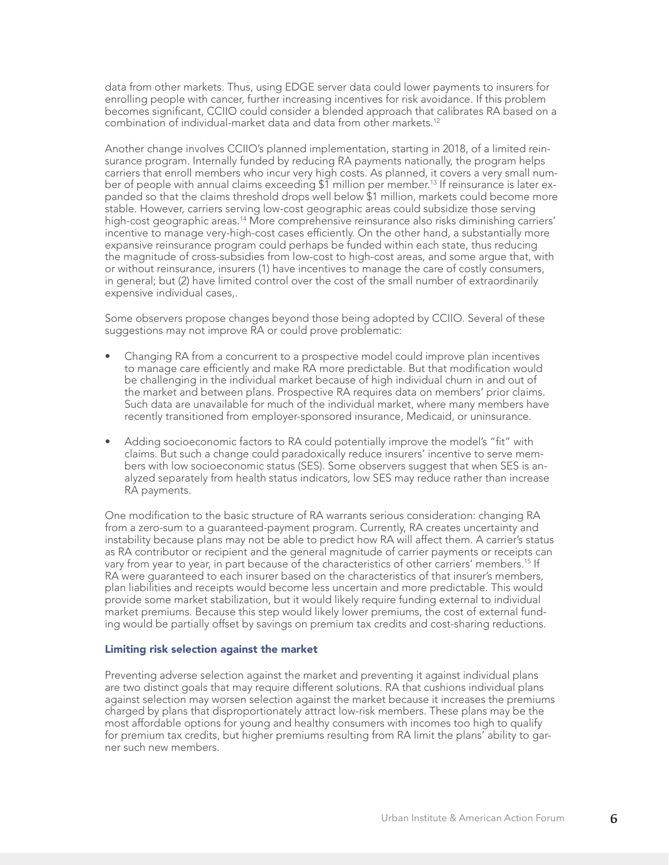data from other markets. Thus, using EDGE server data could lower payments to insurers for enrolling people with cancer, further increasing incentives for risk avoidance. If this problem becomes significant, CCIIO could consider a blended approach that calibrates RA based on a combination of individual-market data and data from other markets.12

Another change involves CCIIO's planned implementation, starting in 2018, of a limited reinsurance program. Internally funded by reducing RA payments nationally, the program helps carriers that enroll members who incur very high costs. As planned, it covers a very small number of people with annual claims exceeding \$1 million per member.<sup>13</sup> If reinsurance is later expanded so that the claims threshold drops well below \$1 million, markets could become more stable. However, carriers serving low-cost geographic areas could subsidize those serving high-cost geographic areas.<sup>14</sup> More comprehensive reinsurance also risks diminishing carriers' incentive to manage very-high-cost cases efficiently. On the other hand, a substantially more expansive reinsurance program could perhaps be funded within each state, thus reducing the magnitude of cross-subsidies from low-cost to high-cost areas, and some argue that, with or without reinsurance, insurers (1) have incentives to manage the care of costly consumers, in general; but (2) have limited control over the cost of the small number of extraordinarily expensive individual cases,.

Some observers propose changes beyond those being adopted by CCIIO. Several of these suggestions may not improve RA or could prove problematic:

- Changing RA from a concurrent to a prospective model could improve plan incentives to manage care efficiently and make RA more predictable. But that modification would be challenging in the individual market because of high individual churn in and out of the market and between plans. Prospective RA requires data on members' prior claims. Such data are unavailable for much of the individual market, where many members have recently transitioned from employer-sponsored insurance, Medicaid, or uninsurance.
- Adding socioeconomic factors to RA could potentially improve the model's "fit" with claims. But such a change could paradoxically reduce insurers' incentive to serve members with low socioeconomic status (SES). Some observers suggest that when SES is analyzed separately from health status indicators, low SES may reduce rather than increase RA payments.

One modification to the basic structure of RA warrants serious consideration: changing RA from a zero-sum to a guaranteed-payment program. Currently, RA creates uncertainty and instability because plans may not be able to predict how RA will affect them. A carrier's status as RA contributor or recipient and the general magnitude of carrier payments or receipts can vary from year to year, in part because of the characteristics of other carriers' members.<sup>15</sup> If RA were guaranteed to each insurer based on the characteristics of that insurer's members, plan liabilities and receipts would become less uncertain and more predictable. This would provide some market stabilization, but it would likely require funding external to individual market premiums. Because this step would likely lower premiums, the cost of external funding would be partially offset by savings on premium tax credits and cost-sharing reductions.

#### Limiting risk selection against the market

Preventing adverse selection against the market and preventing it against individual plans are two distinct goals that may require different solutions. RA that cushions individual plans against selection may worsen selection against the market because it increases the premiums charged by plans that disproportionately attract low-risk members. These plans may be the most affordable options for young and healthy consumers with incomes too high to qualify for premium tax credits, but higher premiums resulting from RA limit the plans' ability to garner such new members.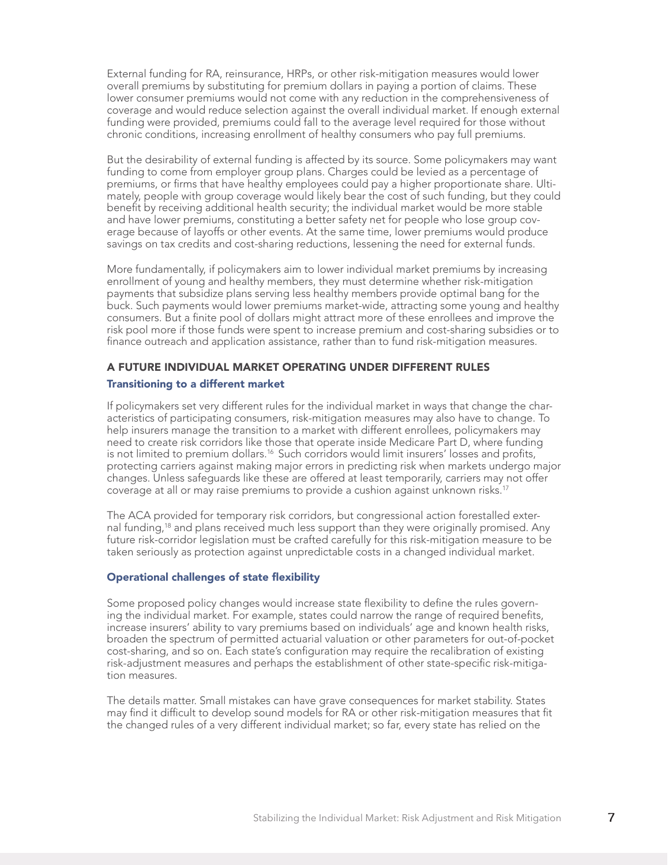External funding for RA, reinsurance, HRPs, or other risk-mitigation measures would lower overall premiums by substituting for premium dollars in paying a portion of claims. These lower consumer premiums would not come with any reduction in the comprehensiveness of coverage and would reduce selection against the overall individual market. If enough external funding were provided, premiums could fall to the average level required for those without chronic conditions, increasing enrollment of healthy consumers who pay full premiums.

But the desirability of external funding is affected by its source. Some policymakers may want funding to come from employer group plans. Charges could be levied as a percentage of premiums, or firms that have healthy employees could pay a higher proportionate share. Ultimately, people with group coverage would likely bear the cost of such funding, but they could benefit by receiving additional health security; the individual market would be more stable and have lower premiums, constituting a better safety net for people who lose group coverage because of layoffs or other events. At the same time, lower premiums would produce savings on tax credits and cost-sharing reductions, lessening the need for external funds.

More fundamentally, if policymakers aim to lower individual market premiums by increasing enrollment of young and healthy members, they must determine whether risk-mitigation payments that subsidize plans serving less healthy members provide optimal bang for the buck. Such payments would lower premiums market-wide, attracting some young and healthy consumers. But a finite pool of dollars might attract more of these enrollees and improve the risk pool more if those funds were spent to increase premium and cost-sharing subsidies or to finance outreach and application assistance, rather than to fund risk-mitigation measures.

# A FUTURE INDIVIDUAL MARKET OPERATING UNDER DIFFERENT RULES

#### Transitioning to a different market

If policymakers set very different rules for the individual market in ways that change the characteristics of participating consumers, risk-mitigation measures may also have to change. To help insurers manage the transition to a market with different enrollees, policymakers may need to create risk corridors like those that operate inside Medicare Part D, where funding is not limited to premium dollars.<sup>16</sup> Such corridors would limit insurers' losses and profits, protecting carriers against making major errors in predicting risk when markets undergo major changes. Unless safeguards like these are offered at least temporarily, carriers may not offer coverage at all or may raise premiums to provide a cushion against unknown risks.<sup>17</sup>

The ACA provided for temporary risk corridors, but congressional action forestalled external funding,<sup>18</sup> and plans received much less support than they were originally promised. Any future risk-corridor legislation must be crafted carefully for this risk-mitigation measure to be taken seriously as protection against unpredictable costs in a changed individual market.

#### Operational challenges of state flexibility

Some proposed policy changes would increase state flexibility to define the rules governing the individual market. For example, states could narrow the range of required benefits, increase insurers' ability to vary premiums based on individuals' age and known health risks, broaden the spectrum of permitted actuarial valuation or other parameters for out-of-pocket cost-sharing, and so on. Each state's configuration may require the recalibration of existing risk-adjustment measures and perhaps the establishment of other state-specific risk-mitigation measures.

The details matter. Small mistakes can have grave consequences for market stability. States may find it difficult to develop sound models for RA or other risk-mitigation measures that fit the changed rules of a very different individual market; so far, every state has relied on the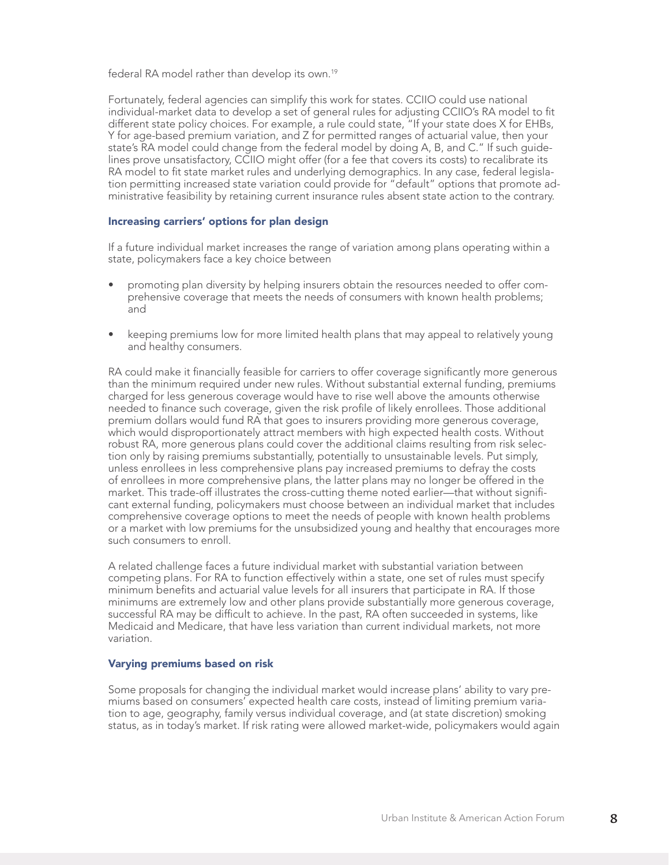federal RA model rather than develop its own.<sup>19</sup>

Fortunately, federal agencies can simplify this work for states. CCIIO could use national individual-market data to develop a set of general rules for adjusting CCIIO's RA model to fit different state policy choices. For example, a rule could state, "If your state does X for EHBs, Y for age-based premium variation, and Z for permitted ranges of actuarial value, then your state's RA model could change from the federal model by doing A, B, and C." If such guidelines prove unsatisfactory, CCIIO might offer (for a fee that covers its costs) to recalibrate its RA model to fit state market rules and underlying demographics. In any case, federal legislation permitting increased state variation could provide for "default" options that promote administrative feasibility by retaining current insurance rules absent state action to the contrary.

#### Increasing carriers' options for plan design

If a future individual market increases the range of variation among plans operating within a state, policymakers face a key choice between

- promoting plan diversity by helping insurers obtain the resources needed to offer comprehensive coverage that meets the needs of consumers with known health problems; and
- keeping premiums low for more limited health plans that may appeal to relatively young and healthy consumers.

RA could make it financially feasible for carriers to offer coverage significantly more generous than the minimum required under new rules. Without substantial external funding, premiums charged for less generous coverage would have to rise well above the amounts otherwise needed to finance such coverage, given the risk profile of likely enrollees. Those additional premium dollars would fund RA that goes to insurers providing more generous coverage, which would disproportionately attract members with high expected health costs. Without robust RA, more generous plans could cover the additional claims resulting from risk selection only by raising premiums substantially, potentially to unsustainable levels. Put simply, unless enrollees in less comprehensive plans pay increased premiums to defray the costs of enrollees in more comprehensive plans, the latter plans may no longer be offered in the market. This trade-off illustrates the cross-cutting theme noted earlier—that without significant external funding, policymakers must choose between an individual market that includes comprehensive coverage options to meet the needs of people with known health problems or a market with low premiums for the unsubsidized young and healthy that encourages more such consumers to enroll.

A related challenge faces a future individual market with substantial variation between competing plans. For RA to function effectively within a state, one set of rules must specify minimum benefits and actuarial value levels for all insurers that participate in RA. If those minimums are extremely low and other plans provide substantially more generous coverage, successful RA may be difficult to achieve. In the past, RA often succeeded in systems, like Medicaid and Medicare, that have less variation than current individual markets, not more variation.

#### Varying premiums based on risk

Some proposals for changing the individual market would increase plans' ability to vary premiums based on consumers' expected health care costs, instead of limiting premium variation to age, geography, family versus individual coverage, and (at state discretion) smoking status, as in today's market. If risk rating were allowed market-wide, policymakers would again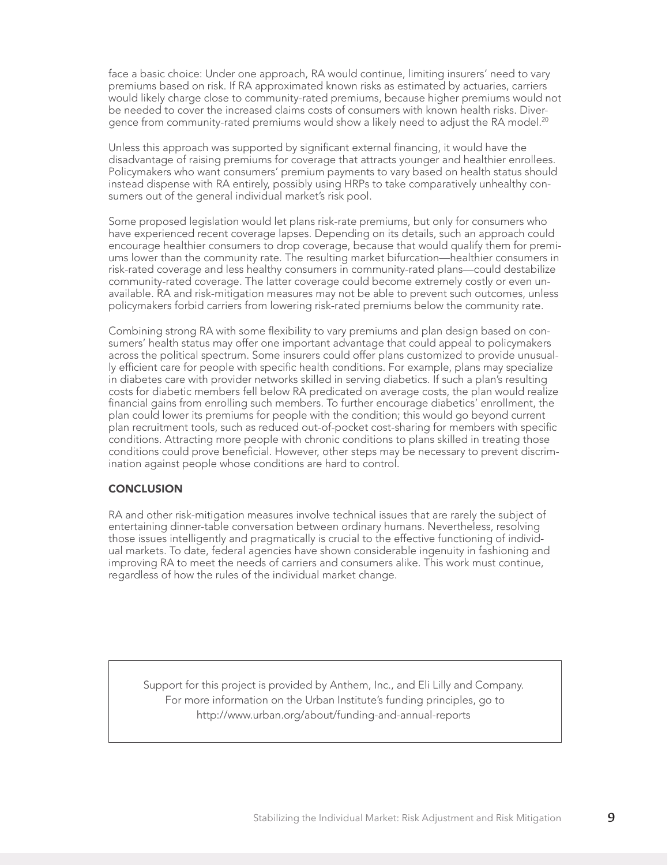face a basic choice: Under one approach, RA would continue, limiting insurers' need to vary premiums based on risk. If RA approximated known risks as estimated by actuaries, carriers would likely charge close to community-rated premiums, because higher premiums would not be needed to cover the increased claims costs of consumers with known health risks. Divergence from community-rated premiums would show a likely need to adjust the RA model.<sup>20</sup>

Unless this approach was supported by significant external financing, it would have the disadvantage of raising premiums for coverage that attracts younger and healthier enrollees. Policymakers who want consumers' premium payments to vary based on health status should instead dispense with RA entirely, possibly using HRPs to take comparatively unhealthy consumers out of the general individual market's risk pool.

Some proposed legislation would let plans risk-rate premiums, but only for consumers who have experienced recent coverage lapses. Depending on its details, such an approach could encourage healthier consumers to drop coverage, because that would qualify them for premiums lower than the community rate. The resulting market bifurcation—healthier consumers in risk-rated coverage and less healthy consumers in community-rated plans—could destabilize community-rated coverage. The latter coverage could become extremely costly or even unavailable. RA and risk-mitigation measures may not be able to prevent such outcomes, unless policymakers forbid carriers from lowering risk-rated premiums below the community rate.

Combining strong RA with some flexibility to vary premiums and plan design based on consumers' health status may offer one important advantage that could appeal to policymakers across the political spectrum. Some insurers could offer plans customized to provide unusually efficient care for people with specific health conditions. For example, plans may specialize in diabetes care with provider networks skilled in serving diabetics. If such a plan's resulting costs for diabetic members fell below RA predicated on average costs, the plan would realize financial gains from enrolling such members. To further encourage diabetics' enrollment, the plan could lower its premiums for people with the condition; this would go beyond current plan recruitment tools, such as reduced out-of-pocket cost-sharing for members with specific conditions. Attracting more people with chronic conditions to plans skilled in treating those conditions could prove beneficial. However, other steps may be necessary to prevent discrimination against people whose conditions are hard to control.

#### **CONCLUSION**

RA and other risk-mitigation measures involve technical issues that are rarely the subject of entertaining dinner-table conversation between ordinary humans. Nevertheless, resolving those issues intelligently and pragmatically is crucial to the effective functioning of individual markets. To date, federal agencies have shown considerable ingenuity in fashioning and improving RA to meet the needs of carriers and consumers alike. This work must continue, regardless of how the rules of the individual market change.

Support for this project is provided by Anthem, Inc., and Eli Lilly and Company. For more information on the Urban Institute's funding principles, go to http://www.urban.org/about/funding-and-annual-reports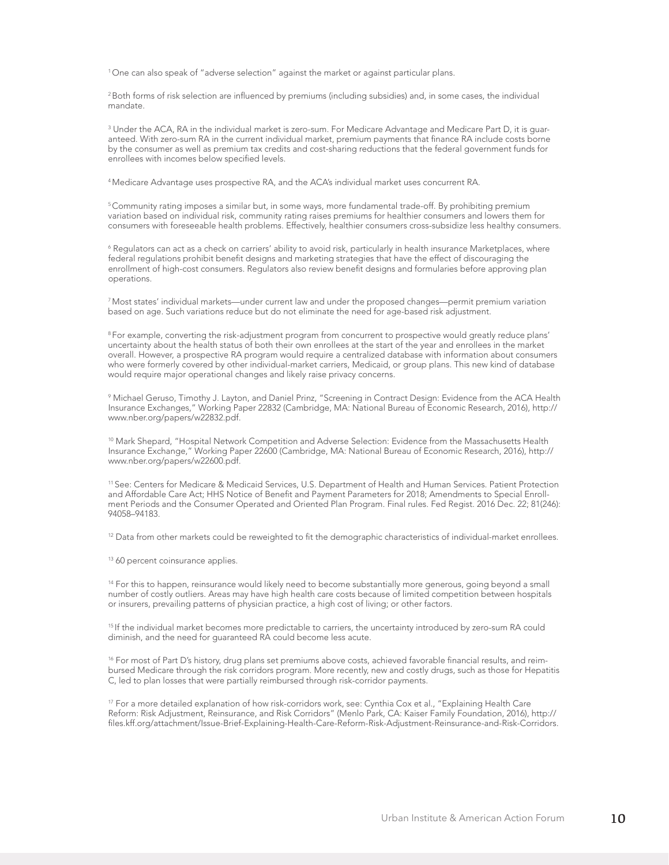<sup>1</sup>One can also speak of "adverse selection" against the market or against particular plans.

<sup>2</sup> Both forms of risk selection are influenced by premiums (including subsidies) and, in some cases, the individual mandate.

 $^3$  Under the ACA, RA in the individual market is zero-sum. For Medicare Advantage and Medicare Part D, it is guaranteed. With zero-sum RA in the current individual market, premium payments that finance RA include costs borne by the consumer as well as premium tax credits and cost-sharing reductions that the federal government funds for enrollees with incomes below specified levels.

<sup>4</sup>Medicare Advantage uses prospective RA, and the ACA's individual market uses concurrent RA.

<sup>5</sup>Community rating imposes a similar but, in some ways, more fundamental trade-off. By prohibiting premium variation based on individual risk, community rating raises premiums for healthier consumers and lowers them for consumers with foreseeable health problems. Effectively, healthier consumers cross-subsidize less healthy consumers.

 $^6$  Regulators can act as a check on carriers' ability to avoid risk, particularly in health insurance Marketplaces, where federal regulations prohibit benefit designs and marketing strategies that have the effect of discouraging the enrollment of high-cost consumers. Regulators also review benefit designs and formularies before approving plan operations.

<sup>7</sup>Most states' individual markets—under current law and under the proposed changes—permit premium variation based on age. Such variations reduce but do not eliminate the need for age-based risk adjustment.

<sup>8</sup> For example, converting the risk-adjustment program from concurrent to prospective would greatly reduce plans' uncertainty about the health status of both their own enrollees at the start of the year and enrollees in the market overall. However, a prospective RA program would require a centralized database with information about consumers who were formerly covered by other individual-market carriers, Medicaid, or group plans. This new kind of database would require major operational changes and likely raise privacy concerns.

9 Michael Geruso, Timothy J. Layton, and Daniel Prinz, "Screening in Contract Design: Evidence from the ACA Health Insurance Exchanges," Working Paper 22832 (Cambridge, MA: National Bureau of Economic Research, 2016), http:// www.nber.org/papers/w22832.pdf.

10 Mark Shepard, "Hospital Network Competition and Adverse Selection: Evidence from the Massachusetts Health Insurance Exchange," Working Paper 22600 (Cambridge, MA: National Bureau of Economic Research, 2016), http:// www.nber.org/papers/w22600.pdf.

<sup>11</sup>See: Centers for Medicare & Medicaid Services, U.S. Department of Health and Human Services. Patient Protection and Affordable Care Act; HHS Notice of Benefit and Payment Parameters for 2018; Amendments to Special Enrollment Periods and the Consumer Operated and Oriented Plan Program. Final rules. Fed Regist. 2016 Dec. 22; 81(246): 94058–94183.

<sup>12</sup> Data from other markets could be reweighted to fit the demographic characteristics of individual-market enrollees.

<sup>13</sup> 60 percent coinsurance applies.

<sup>14</sup> For this to happen, reinsurance would likely need to become substantially more generous, going beyond a small number of costly outliers. Areas may have high health care costs because of limited competition between hospitals or insurers, prevailing patterns of physician practice, a high cost of living; or other factors.

<sup>15</sup> If the individual market becomes more predictable to carriers, the uncertainty introduced by zero-sum RA could diminish, and the need for guaranteed RA could become less acute.

<sup>16</sup> For most of Part D's history, drug plans set premiums above costs, achieved favorable financial results, and reimbursed Medicare through the risk corridors program. More recently, new and costly drugs, such as those for Hepatitis C, led to plan losses that were partially reimbursed through risk-corridor payments.

<sup>17</sup> For a more detailed explanation of how risk-corridors work, see: Cynthia Cox et al., "Explaining Health Care Reform: Risk Adjustment, Reinsurance, and Risk Corridors" (Menlo Park, CA: Kaiser Family Foundation, 2016), http:// files.kff.org/attachment/Issue-Brief-Explaining-Health-Care-Reform-Risk-Adjustment-Reinsurance-and-Risk-Corridors.